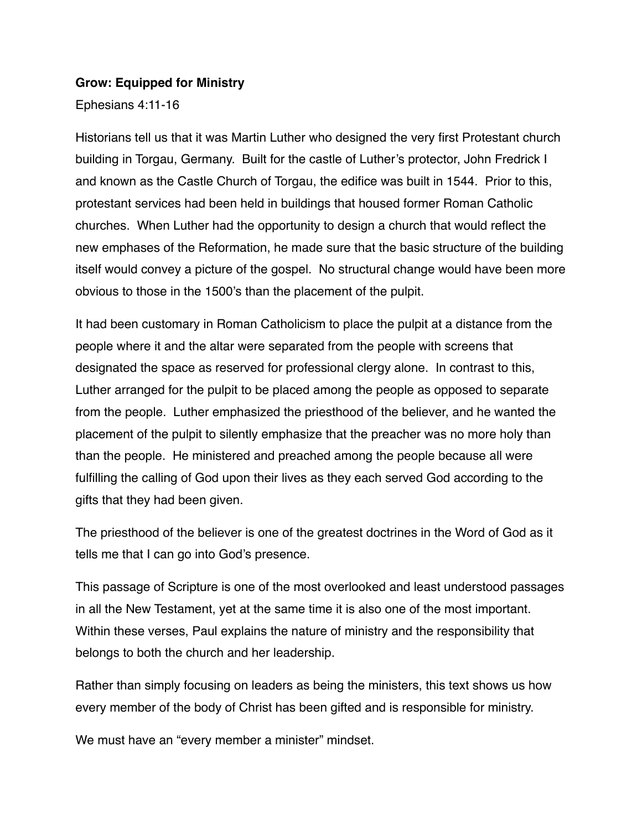#### **Grow: Equipped for Ministry**

Ephesians 4:11-16

Historians tell us that it was Martin Luther who designed the very first Protestant church building in Torgau, Germany. Built for the castle of Luther's protector, John Fredrick I and known as the Castle Church of Torgau, the edifice was built in 1544. Prior to this, protestant services had been held in buildings that housed former Roman Catholic churches. When Luther had the opportunity to design a church that would reflect the new emphases of the Reformation, he made sure that the basic structure of the building itself would convey a picture of the gospel. No structural change would have been more obvious to those in the 1500's than the placement of the pulpit.

It had been customary in Roman Catholicism to place the pulpit at a distance from the people where it and the altar were separated from the people with screens that designated the space as reserved for professional clergy alone. In contrast to this, Luther arranged for the pulpit to be placed among the people as opposed to separate from the people. Luther emphasized the priesthood of the believer, and he wanted the placement of the pulpit to silently emphasize that the preacher was no more holy than than the people. He ministered and preached among the people because all were fulfilling the calling of God upon their lives as they each served God according to the gifts that they had been given.

The priesthood of the believer is one of the greatest doctrines in the Word of God as it tells me that I can go into God's presence.

This passage of Scripture is one of the most overlooked and least understood passages in all the New Testament, yet at the same time it is also one of the most important. Within these verses, Paul explains the nature of ministry and the responsibility that belongs to both the church and her leadership.

Rather than simply focusing on leaders as being the ministers, this text shows us how every member of the body of Christ has been gifted and is responsible for ministry.

We must have an "every member a minister" mindset.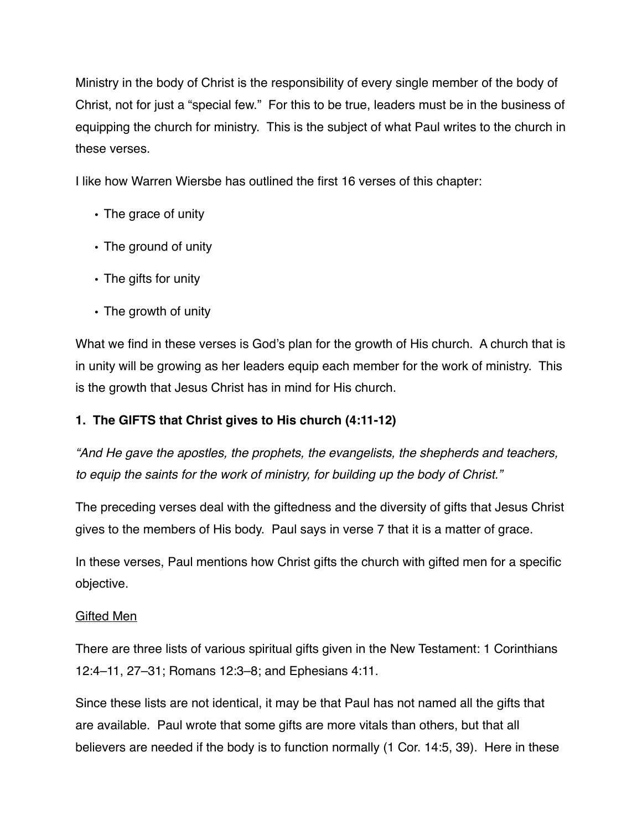Ministry in the body of Christ is the responsibility of every single member of the body of Christ, not for just a "special few." For this to be true, leaders must be in the business of equipping the church for ministry. This is the subject of what Paul writes to the church in these verses.

I like how Warren Wiersbe has outlined the first 16 verses of this chapter:

- The grace of unity
- The ground of unity
- The gifts for unity
- The growth of unity

What we find in these verses is God's plan for the growth of His church. A church that is in unity will be growing as her leaders equip each member for the work of ministry. This is the growth that Jesus Christ has in mind for His church.

## **1. The GIFTS that Christ gives to His church (4:11-12)**

*"And He gave the apostles, the prophets, the evangelists, the shepherds and teachers, to equip the saints for the work of ministry, for building up the body of Christ."*

The preceding verses deal with the giftedness and the diversity of gifts that Jesus Christ gives to the members of His body. Paul says in verse 7 that it is a matter of grace.

In these verses, Paul mentions how Christ gifts the church with gifted men for a specific objective.

## Gifted Men

There are three lists of various spiritual gifts given in the New Testament: 1 Corinthians 12:4–11, 27–31; Romans 12:3–8; and Ephesians 4:11.

Since these lists are not identical, it may be that Paul has not named all the gifts that are available. Paul wrote that some gifts are more vitals than others, but that all believers are needed if the body is to function normally (1 Cor. 14:5, 39). Here in these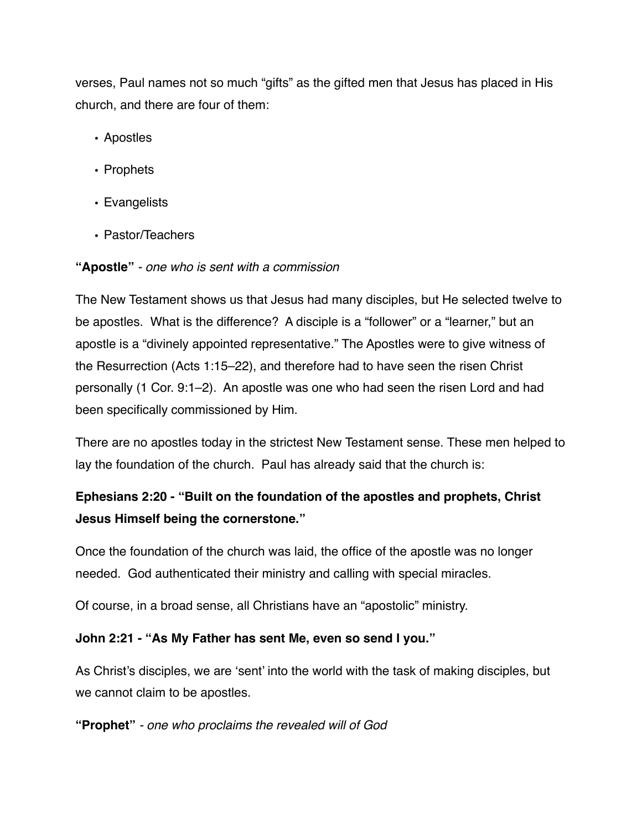verses, Paul names not so much "gifts" as the gifted men that Jesus has placed in His church, and there are four of them:

- Apostles
- Prophets
- Evangelists
- Pastor/Teachers

### **"Apostle"** *- one who is sent with a commission*

The New Testament shows us that Jesus had many disciples, but He selected twelve to be apostles. What is the difference? A disciple is a "follower" or a "learner," but an apostle is a "divinely appointed representative." The Apostles were to give witness of the Resurrection (Acts 1:15–22), and therefore had to have seen the risen Christ personally (1 Cor. 9:1–2). An apostle was one who had seen the risen Lord and had been specifically commissioned by Him.

There are no apostles today in the strictest New Testament sense. These men helped to lay the foundation of the church. Paul has already said that the church is:

# **Ephesians 2:20 - "Built on the foundation of the apostles and prophets, Christ Jesus Himself being the cornerstone."**

Once the foundation of the church was laid, the office of the apostle was no longer needed. God authenticated their ministry and calling with special miracles.

Of course, in a broad sense, all Christians have an "apostolic" ministry.

## **John 2:21 - "As My Father has sent Me, even so send I you."**

As Christ's disciples, we are 'sent' into the world with the task of making disciples, but we cannot claim to be apostles.

#### **"Prophet"** *- one who proclaims the revealed will of God*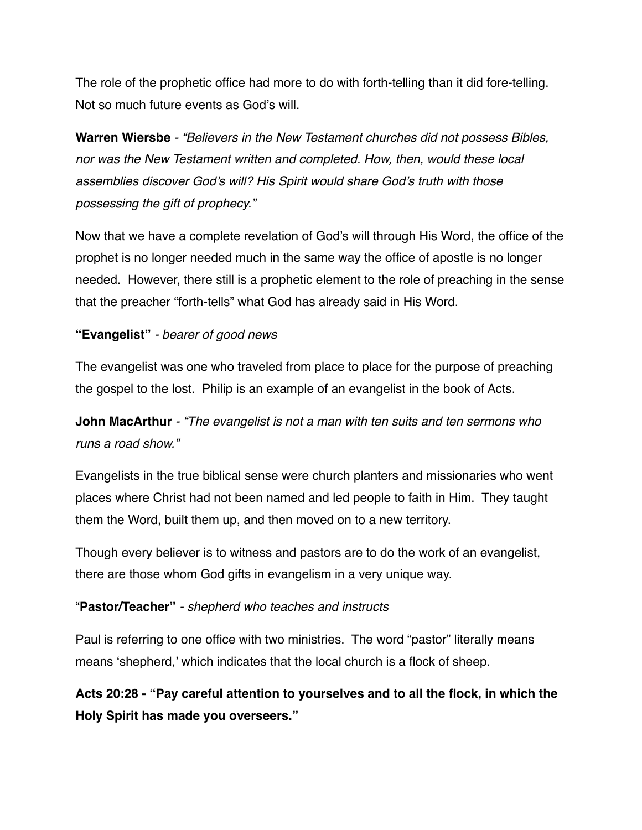The role of the prophetic office had more to do with forth-telling than it did fore-telling. Not so much future events as God's will.

**Warren Wiersbe** *- "Believers in the New Testament churches did not possess Bibles, nor was the New Testament written and completed. How, then, would these local assemblies discover God's will? His Spirit would share God's truth with those possessing the gift of prophecy."*

Now that we have a complete revelation of God's will through His Word, the office of the prophet is no longer needed much in the same way the office of apostle is no longer needed. However, there still is a prophetic element to the role of preaching in the sense that the preacher "forth-tells" what God has already said in His Word.

#### **"Evangelist"** *- bearer of good news*

The evangelist was one who traveled from place to place for the purpose of preaching the gospel to the lost. Philip is an example of an evangelist in the book of Acts.

**John MacArthur** *- "The evangelist is not a man with ten suits and ten sermons who runs a road show."*

Evangelists in the true biblical sense were church planters and missionaries who went places where Christ had not been named and led people to faith in Him. They taught them the Word, built them up, and then moved on to a new territory.

Though every believer is to witness and pastors are to do the work of an evangelist, there are those whom God gifts in evangelism in a very unique way.

#### "**Pastor/Teacher"** *- shepherd who teaches and instructs*

Paul is referring to one office with two ministries. The word "pastor" literally means means 'shepherd,' which indicates that the local church is a flock of sheep.

**Acts 20:28 - "Pay careful attention to yourselves and to all the flock, in which the Holy Spirit has made you overseers."**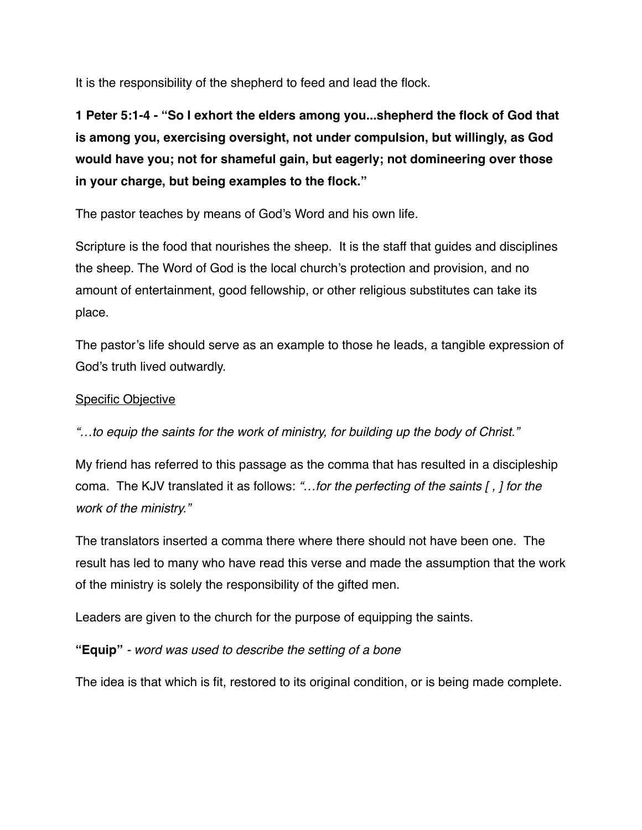It is the responsibility of the shepherd to feed and lead the flock.

**1 Peter 5:1-4 - "So I exhort the elders among you...shepherd the flock of God that is among you, exercising oversight, not under compulsion, but willingly, as God would have you; not for shameful gain, but eagerly; not domineering over those in your charge, but being examples to the flock."**

The pastor teaches by means of God's Word and his own life.

Scripture is the food that nourishes the sheep. It is the staff that guides and disciplines the sheep. The Word of God is the local church's protection and provision, and no amount of entertainment, good fellowship, or other religious substitutes can take its place.

The pastor's life should serve as an example to those he leads, a tangible expression of God's truth lived outwardly.

#### Specific Objective

*"…to equip the saints for the work of ministry, for building up the body of Christ."*

My friend has referred to this passage as the comma that has resulted in a discipleship coma. The KJV translated it as follows: *"…for the perfecting of the saints [ , ] for the work of the ministry."*

The translators inserted a comma there where there should not have been one. The result has led to many who have read this verse and made the assumption that the work of the ministry is solely the responsibility of the gifted men.

Leaders are given to the church for the purpose of equipping the saints.

**"Equip"** *- word was used to describe the setting of a bone*

The idea is that which is fit, restored to its original condition, or is being made complete.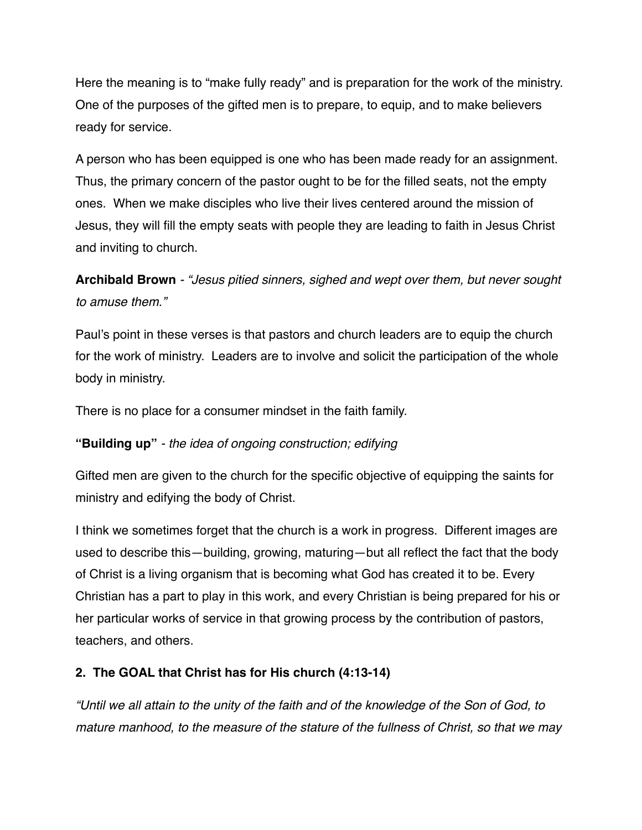Here the meaning is to "make fully ready" and is preparation for the work of the ministry. One of the purposes of the gifted men is to prepare, to equip, and to make believers ready for service.

A person who has been equipped is one who has been made ready for an assignment. Thus, the primary concern of the pastor ought to be for the filled seats, not the empty ones. When we make disciples who live their lives centered around the mission of Jesus, they will fill the empty seats with people they are leading to faith in Jesus Christ and inviting to church.

**Archibald Brown** *- "Jesus pitied sinners, sighed and wept over them, but never sought to amuse them."*

Paul's point in these verses is that pastors and church leaders are to equip the church for the work of ministry. Leaders are to involve and solicit the participation of the whole body in ministry.

There is no place for a consumer mindset in the faith family.

## **"Building up"** *- the idea of ongoing construction; edifying*

Gifted men are given to the church for the specific objective of equipping the saints for ministry and edifying the body of Christ.

I think we sometimes forget that the church is a work in progress. Different images are used to describe this—building, growing, maturing—but all reflect the fact that the body of Christ is a living organism that is becoming what God has created it to be. Every Christian has a part to play in this work, and every Christian is being prepared for his or her particular works of service in that growing process by the contribution of pastors, teachers, and others.

## **2. The GOAL that Christ has for His church (4:13-14)**

*"Until we all attain to the unity of the faith and of the knowledge of the Son of God, to mature manhood, to the measure of the stature of the fullness of Christ, so that we may*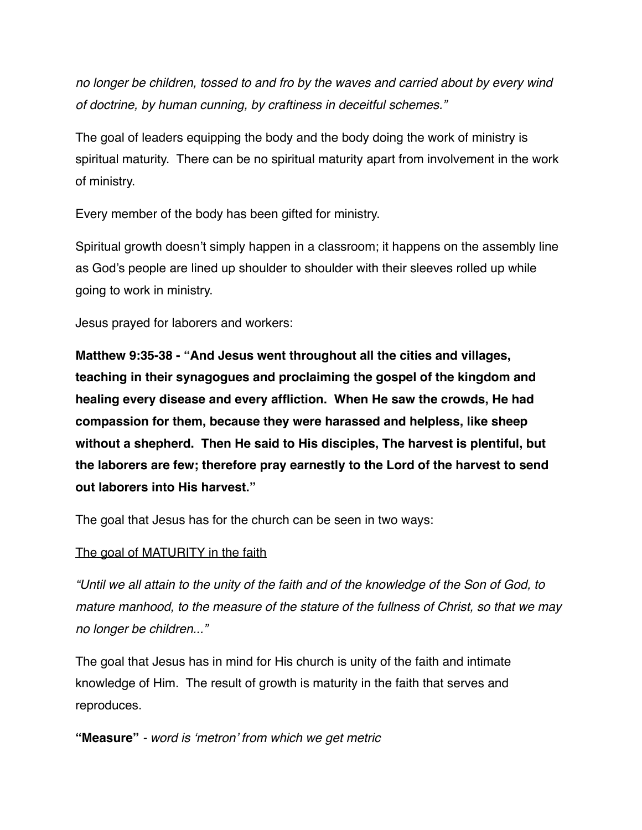*no longer be children, tossed to and fro by the waves and carried about by every wind of doctrine, by human cunning, by craftiness in deceitful schemes."*

The goal of leaders equipping the body and the body doing the work of ministry is spiritual maturity. There can be no spiritual maturity apart from involvement in the work of ministry.

Every member of the body has been gifted for ministry.

Spiritual growth doesn't simply happen in a classroom; it happens on the assembly line as God's people are lined up shoulder to shoulder with their sleeves rolled up while going to work in ministry.

Jesus prayed for laborers and workers:

**Matthew 9:35-38 - "And Jesus went throughout all the cities and villages, teaching in their synagogues and proclaiming the gospel of the kingdom and healing every disease and every affliction. When He saw the crowds, He had compassion for them, because they were harassed and helpless, like sheep without a shepherd. Then He said to His disciples, The harvest is plentiful, but the laborers are few; therefore pray earnestly to the Lord of the harvest to send out laborers into His harvest."**

The goal that Jesus has for the church can be seen in two ways:

#### The goal of MATURITY in the faith

*"Until we all attain to the unity of the faith and of the knowledge of the Son of God, to mature manhood, to the measure of the stature of the fullness of Christ, so that we may no longer be children..."*

The goal that Jesus has in mind for His church is unity of the faith and intimate knowledge of Him. The result of growth is maturity in the faith that serves and reproduces.

**"Measure"** *- word is 'metron' from which we get metric*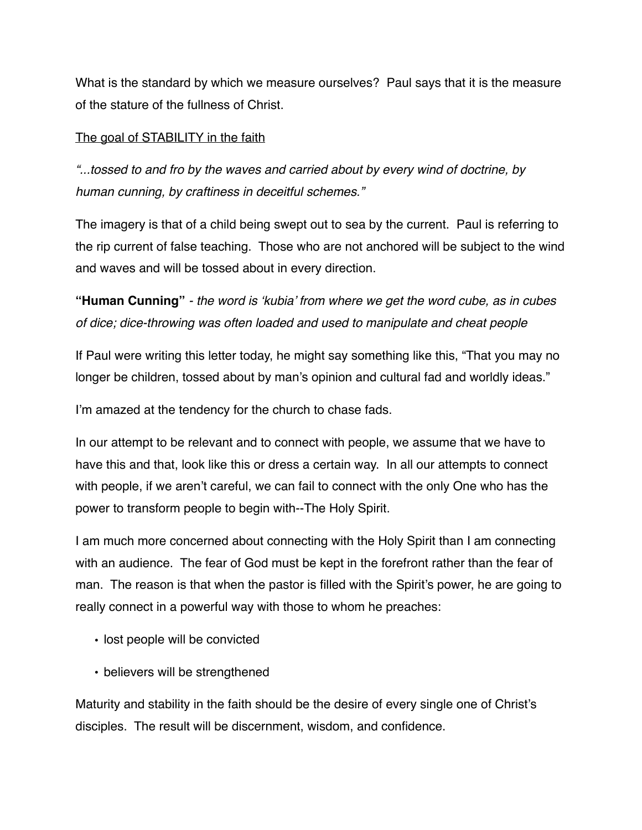What is the standard by which we measure ourselves? Paul says that it is the measure of the stature of the fullness of Christ.

#### The goal of STABILITY in the faith

*"...tossed to and fro by the waves and carried about by every wind of doctrine, by human cunning, by craftiness in deceitful schemes."*

The imagery is that of a child being swept out to sea by the current. Paul is referring to the rip current of false teaching. Those who are not anchored will be subject to the wind and waves and will be tossed about in every direction.

**"Human Cunning"** *- the word is 'kubia' from where we get the word cube, as in cubes of dice; dice-throwing was often loaded and used to manipulate and cheat people*

If Paul were writing this letter today, he might say something like this, "That you may no longer be children, tossed about by man's opinion and cultural fad and worldly ideas."

I'm amazed at the tendency for the church to chase fads.

In our attempt to be relevant and to connect with people, we assume that we have to have this and that, look like this or dress a certain way. In all our attempts to connect with people, if we aren't careful, we can fail to connect with the only One who has the power to transform people to begin with--The Holy Spirit.

I am much more concerned about connecting with the Holy Spirit than I am connecting with an audience. The fear of God must be kept in the forefront rather than the fear of man. The reason is that when the pastor is filled with the Spirit's power, he are going to really connect in a powerful way with those to whom he preaches:

- lost people will be convicted
- believers will be strengthened

Maturity and stability in the faith should be the desire of every single one of Christ's disciples. The result will be discernment, wisdom, and confidence.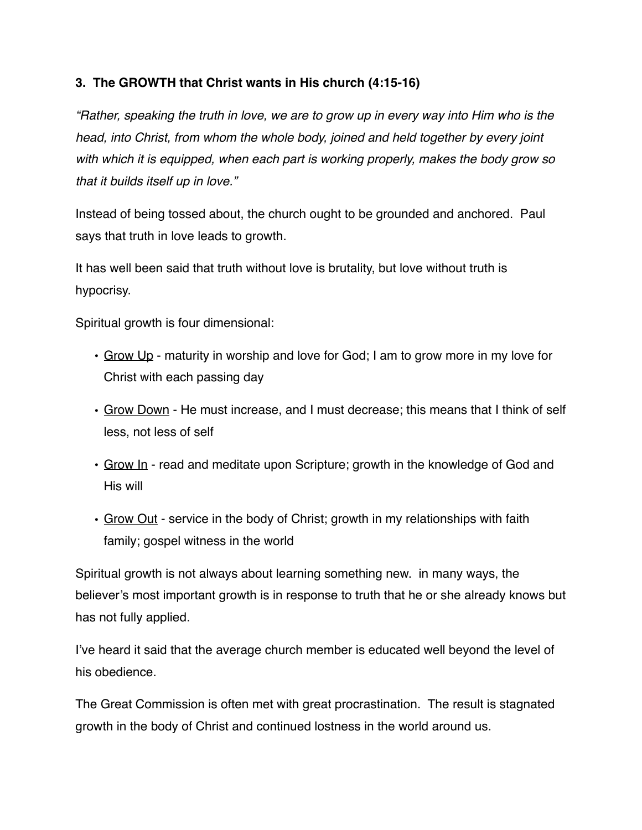### **3. The GROWTH that Christ wants in His church (4:15-16)**

*"Rather, speaking the truth in love, we are to grow up in every way into Him who is the head, into Christ, from whom the whole body, joined and held together by every joint with which it is equipped, when each part is working properly, makes the body grow so that it builds itself up in love."*

Instead of being tossed about, the church ought to be grounded and anchored. Paul says that truth in love leads to growth.

It has well been said that truth without love is brutality, but love without truth is hypocrisy.

Spiritual growth is four dimensional:

- Grow Up maturity in worship and love for God; I am to grow more in my love for Christ with each passing day
- Grow Down He must increase, and I must decrease; this means that I think of self less, not less of self
- Grow In read and meditate upon Scripture; growth in the knowledge of God and His will
- Grow Out service in the body of Christ; growth in my relationships with faith family; gospel witness in the world

Spiritual growth is not always about learning something new. in many ways, the believer's most important growth is in response to truth that he or she already knows but has not fully applied.

I've heard it said that the average church member is educated well beyond the level of his obedience.

The Great Commission is often met with great procrastination. The result is stagnated growth in the body of Christ and continued lostness in the world around us.